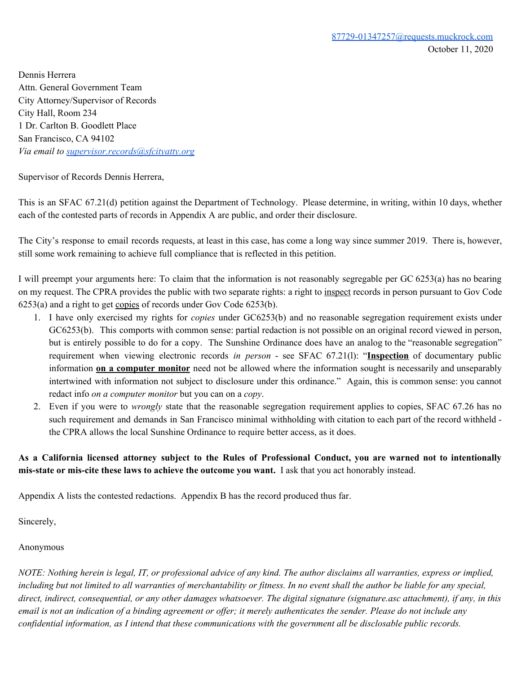Dennis Herrera Attn. General Government Team City Attorney/Supervisor of Records City Hall, Room 234 1 Dr. Carlton B. Goodlett Place San Francisco, CA 94102 *Via email to supervisor.records@sfcityatty.org* 

Supervisor of Records Dennis Herrera,

This is an SFAC 67.21(d) petition against the Department of Technology. Please determine, in writing, within 10 days, whether each of the contested parts of records in Appendix A are public, and order their disclosure.

The City's response to email records requests, at least in this case, has come a long way since summer 2019. There is, however, still some work remaining to achieve full compliance that is reflected in this petition.

I will preempt your arguments here: To claim that the information is not reasonably segregable per GC 6253(a) has no bearing on my request. The CPRA provides the public with two separate rights: a right to inspect records in person pursuant to Gov Code 6253(a) and a right to get copies of records under Gov Code 6253(b).

- 1. I have only exercised my rights for *copies* under GC6253(b) and no reasonable segregation requirement exists under GC6253(b). This comports with common sense: partial redaction is not possible on an original record viewed in person, but is entirely possible to do for a copy. The Sunshine Ordinance does have an analog to the "reasonable segregation" requirement when viewing electronic records *in person* - see SFAC 67.21(1): "Inspection of documentary public information **on a computer monitor** need not be allowed where the information sought is necessarily and unseparably intertwined with information not subject to disclosure under this ordinance." Again, this is common sense: you cannot redact info *on a computer monitor* but you can on a *copy*.
- 2. Even if you were to *wrongly* state that the reasonable segregation requirement applies to copies, SFAC 67.26 has no such requirement and demands in San Francisco minimal withholding with citation to each part of the record withheld the CPRA allows the local Sunshine Ordinance to require better access, as it does.

### As a California licensed attorney subject to the Rules of Professional Conduct, you are warned not to intentionally **mis-state** or **mis-cite** these laws to achieve the outcome you want. I ask that you act honorably instead.

Appendix A lists the contested redactions. Appendix B has the record produced thus far.

Sincerely,

#### Anonymous

NOTE: Nothing herein is legal, IT, or professional advice of any kind. The author disclaims all warranties, express or implied, including but not limited to all warranties of merchantability or fitness. In no event shall the author be liable for any special, direct, indirect, consequential, or any other damages whatsoever. The digital signature (signature.asc attachment), if any, in this email is not an indication of a binding agreement or offer; it merely authenticates the sender. Please do not include any confidential information, as I intend that these communications with the government all be disclosable public records.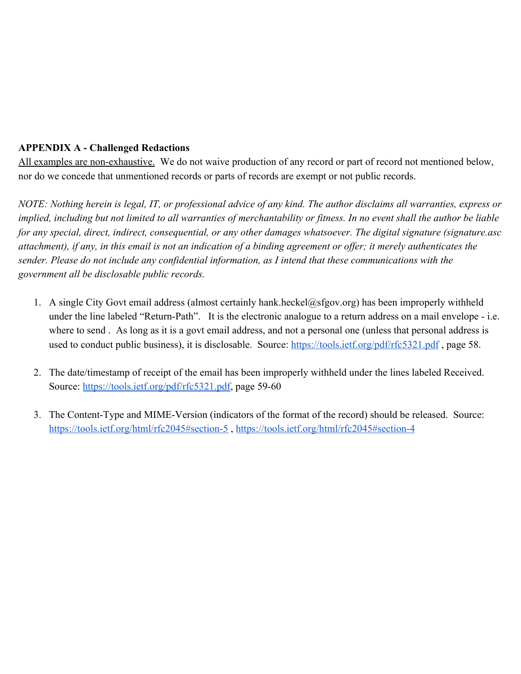## **APPENDIX A - Challenged Redactions**

All examples are non-exhaustive. We do not waive production of any record or part of record not mentioned below, nor do we concede that unmentioned records or parts of records are exempt or not public records.

NOTE: Nothing herein is legal, IT, or professional advice of any kind. The author disclaims all warranties, express or implied, including but not limited to all warranties of merchantability or fitness. In no event shall the author be liable for any special, direct, indirect, consequential, or any other damages whatsoever. The digital signature (signature.asc attachment), if any, in this email is not an indication of a binding agreement or offer; it merely authenticates the sender. Please do not include any confidential information, as I intend that these communications with the government all be disclosable public records.

- 1. A single City Govt email address (almost certainly hank heckel@sfgov.org) has been improperly withheld under the line labeled "Return-Path". It is the electronic analogue to a return address on a mail envelope - i.e. where to send. As long as it is a govt email address, and not a personal one (unless that personal address is used to conduct public business), it is disclosable. Source: https://tools.ietf.org/pdf/rfc5321.pdf, page 58.
- 2. The date/timestamp of receipt of the email has been improperly withheld under the lines labeled Received. Source: https://tools.ietf.org/pdf/rfc5321.pdf, page 59-60
- 3. The Content-Type and MIME-Version (indicators of the format of the record) should be released. Source: https://tools.ietf.org/html/rfc2045#section-5, https://tools.ietf.org/html/rfc2045#section-4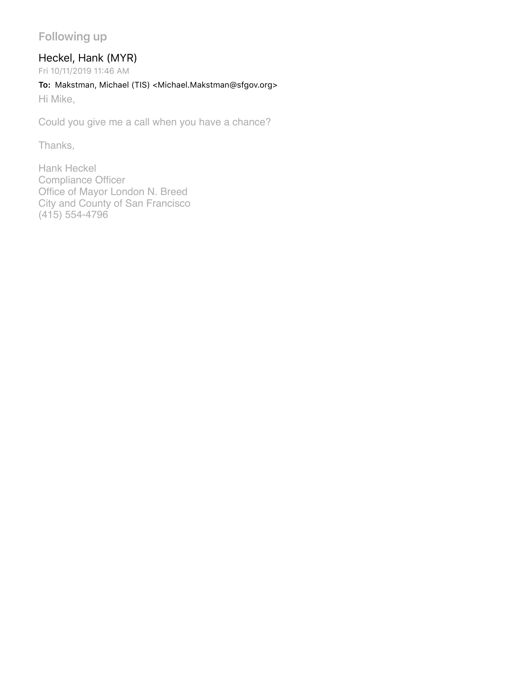## **Following up**

## Heckel, Hank (MYR)

Fri 10/11/2019 11:46 AM

#### **To:** Makstman, Michael (TIS) <Michael.Makstman@sfgov.org>

Hi Mike,

Could you give me a call when you have a chance?

Thanks,

Hank Heckel Compliance Officer Office of Mayor London N. Breed City and County of San Francisco (415) 554-4796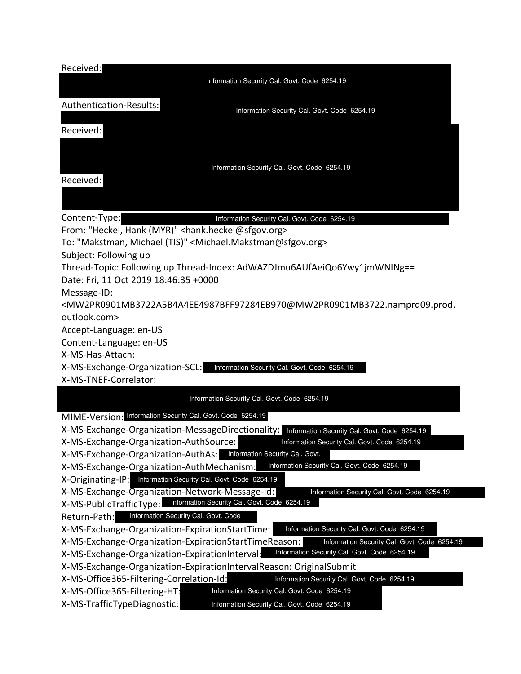| Received:                                                                                                                                                                                                |  |  |  |  |
|----------------------------------------------------------------------------------------------------------------------------------------------------------------------------------------------------------|--|--|--|--|
| Information Security Cal. Govt. Code 6254.19                                                                                                                                                             |  |  |  |  |
| Authentication-Results:<br>Information Security Cal. Govt. Code 6254.19                                                                                                                                  |  |  |  |  |
| Received:                                                                                                                                                                                                |  |  |  |  |
|                                                                                                                                                                                                          |  |  |  |  |
| Information Security Cal. Govt. Code 6254.19                                                                                                                                                             |  |  |  |  |
| Received:                                                                                                                                                                                                |  |  |  |  |
|                                                                                                                                                                                                          |  |  |  |  |
| Content-Type:<br>Information Security Cal. Govt. Code 6254.19                                                                                                                                            |  |  |  |  |
| From: "Heckel, Hank (MYR)" < hank.heckel@sfgov.org>                                                                                                                                                      |  |  |  |  |
| To: "Makstman, Michael (TIS)" <michael.makstman@sfgov.org></michael.makstman@sfgov.org>                                                                                                                  |  |  |  |  |
| Subject: Following up                                                                                                                                                                                    |  |  |  |  |
| Thread-Topic: Following up Thread-Index: AdWAZDJmu6AUfAeiQo6Ywy1jmWNINg==                                                                                                                                |  |  |  |  |
| Date: Fri, 11 Oct 2019 18:46:35 +0000                                                                                                                                                                    |  |  |  |  |
| Message-ID:                                                                                                                                                                                              |  |  |  |  |
| <mw2pr0901mb3722a5b4a4ee4987bff97284eb970@mw2pr0901mb3722.namprd09.prod.< td=""><td></td></mw2pr0901mb3722a5b4a4ee4987bff97284eb970@mw2pr0901mb3722.namprd09.prod.<>                                     |  |  |  |  |
| outlook.com>                                                                                                                                                                                             |  |  |  |  |
| Accept-Language: en-US                                                                                                                                                                                   |  |  |  |  |
| Content-Language: en-US                                                                                                                                                                                  |  |  |  |  |
| X-MS-Has-Attach:                                                                                                                                                                                         |  |  |  |  |
| X-MS-Exchange-Organization-SCL: Information Security Cal. Govt. Code 6254.19<br>X-MS-TNEF-Correlator:                                                                                                    |  |  |  |  |
|                                                                                                                                                                                                          |  |  |  |  |
| Information Security Cal. Govt. Code 6254.19                                                                                                                                                             |  |  |  |  |
| MIME-Version: Information Security Cal. Govt. Code 6254.19                                                                                                                                               |  |  |  |  |
| X-MS-Exchange-Organization-MessageDirectionality:<br>Information Security Cal. Govt. Code 6254.19                                                                                                        |  |  |  |  |
| X-MS-Exchange-Organization-AuthSource:<br>Information Security Cal. Govt. Code 6254.19                                                                                                                   |  |  |  |  |
| X-MS-Exchange-Organization-AuthAs: Information Security Cal. Govt.                                                                                                                                       |  |  |  |  |
| Information Security Cal. Govt. Code 6254.19<br>X-MS-Exchange-Organization-AuthMechanism:                                                                                                                |  |  |  |  |
| X-Originating-IP: Information Security Cal. Govt. Code 6254.19                                                                                                                                           |  |  |  |  |
| X-MS-Exchange-Organization-Network-Message-Id:<br>Information Security Cal. Govt. Code 6254.19                                                                                                           |  |  |  |  |
| Information Security Cal. Govt. Code 6254.19<br>X-MS-PublicTrafficType:                                                                                                                                  |  |  |  |  |
| Information Security Cal. Govt. Code<br>Return-Path:                                                                                                                                                     |  |  |  |  |
| X-MS-Exchange-Organization-ExpirationStartTime:<br>Information Security Cal. Govt. Code 6254.19<br>X-MS-Exchange-Organization-ExpirationStartTimeReason:<br>Information Security Cal. Govt. Code 6254.19 |  |  |  |  |
| Information Security Cal. Govt. Code 6254.19<br>X-MS-Exchange-Organization-ExpirationInterval:                                                                                                           |  |  |  |  |
| X-MS-Exchange-Organization-ExpirationIntervalReason: OriginalSubmit                                                                                                                                      |  |  |  |  |
| X-MS-Office365-Filtering-Correlation-Id:<br>Information Security Cal. Govt. Code 6254.19                                                                                                                 |  |  |  |  |
| Information Security Cal. Govt. Code 6254.19<br>X-MS-Office365-Filtering-HT:                                                                                                                             |  |  |  |  |
| X-MS-TrafficTypeDiagnostic:<br>Information Security Cal. Govt. Code 6254.19                                                                                                                              |  |  |  |  |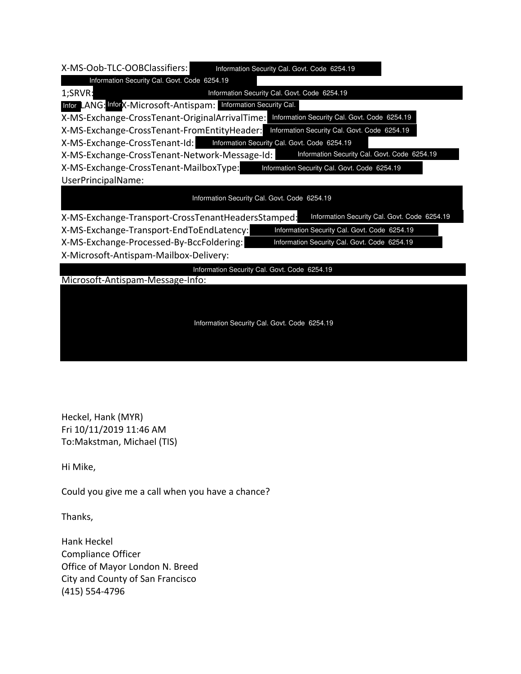| X-MS-Oob-TLC-OOBClassifiers:<br>Information Security Cal. Govt. Code 6254.19                       |  |  |  |
|----------------------------------------------------------------------------------------------------|--|--|--|
| Information Security Cal. Govt. Code 6254.19                                                       |  |  |  |
| Information Security Cal. Govt. Code 6254.19<br>1;SRVR:                                            |  |  |  |
| Infor LANG: InforX-Microsoft-Antispam: Information Security Cal.                                   |  |  |  |
| X-MS-Exchange-CrossTenant-OriginalArrivalTime: Information Security Cal. Govt. Code 6254.19        |  |  |  |
| X-MS-Exchange-CrossTenant-FromEntityHeader: Information Security Cal. Govt. Code 6254.19           |  |  |  |
| X-MS-Exchange-CrossTenant-Id: Information Security Cal. Govt. Code 6254.19                         |  |  |  |
| Information Security Cal. Govt. Code 6254.19<br>X-MS-Exchange-CrossTenant-Network-Message-Id:      |  |  |  |
| X-MS-Exchange-CrossTenant-MailboxType:<br>Information Security Cal. Govt. Code 6254.19             |  |  |  |
| UserPrincipalName:                                                                                 |  |  |  |
| Information Security Cal. Govt. Code 6254.19                                                       |  |  |  |
| Information Security Cal. Govt. Code 6254.19<br>X-MS-Exchange-Transport-CrossTenantHeadersStamped: |  |  |  |
| X-MS-Exchange-Transport-EndToEndLatency:<br>Information Security Cal. Govt. Code 6254.19           |  |  |  |
| X-MS-Exchange-Processed-By-BccFoldering:<br>Information Security Cal. Govt. Code 6254.19           |  |  |  |
| X-Microsoft-Antispam-Mailbox-Delivery:                                                             |  |  |  |
| Information Security Cal. Govt. Code 6254.19                                                       |  |  |  |
| Microsoft-Antispam-Message-Info:                                                                   |  |  |  |
|                                                                                                    |  |  |  |
|                                                                                                    |  |  |  |
| Information Security Cal. Govt. Code 6254.19                                                       |  |  |  |
|                                                                                                    |  |  |  |

Heckel, Hank (MYR) Fri 10/11/2019 11:46 AM To:Makstman, Michael (TIS)

Hi Mike,

Could you give me a call when you have a chance?

Thanks,

Hank Heckel Compliance Officer Office of Mayor London N. Breed City and County of San Francisco (415) 554-4796